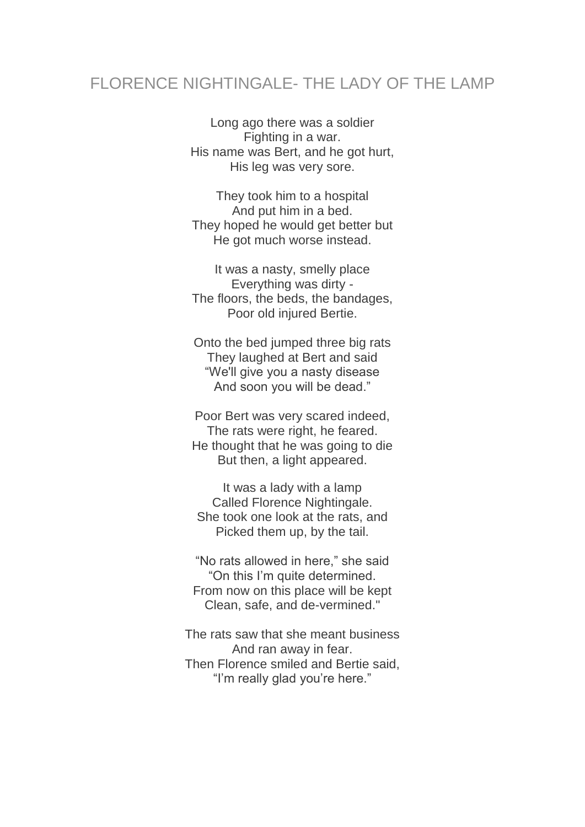## FLORENCE NIGHTINGALE- THE LADY OF THE LAMP

Long ago there was a soldier Fighting in a war. His name was Bert, and he got hurt, His leg was very sore.

They took him to a hospital And put him in a bed. They hoped he would get better but He got much worse instead.

It was a nasty, smelly place Everything was dirty - The floors, the beds, the bandages, Poor old injured Bertie.

Onto the bed jumped three big rats They laughed at Bert and said "We'll give you a nasty disease And soon you will be dead."

Poor Bert was very scared indeed, The rats were right, he feared. He thought that he was going to die But then, a light appeared.

It was a lady with a lamp Called Florence Nightingale. She took one look at the rats, and Picked them up, by the tail.

"No rats allowed in here," she said "On this I'm quite determined. From now on this place will be kept Clean, safe, and de-vermined."

The rats saw that she meant business And ran away in fear. Then Florence smiled and Bertie said, "I'm really glad you're here."